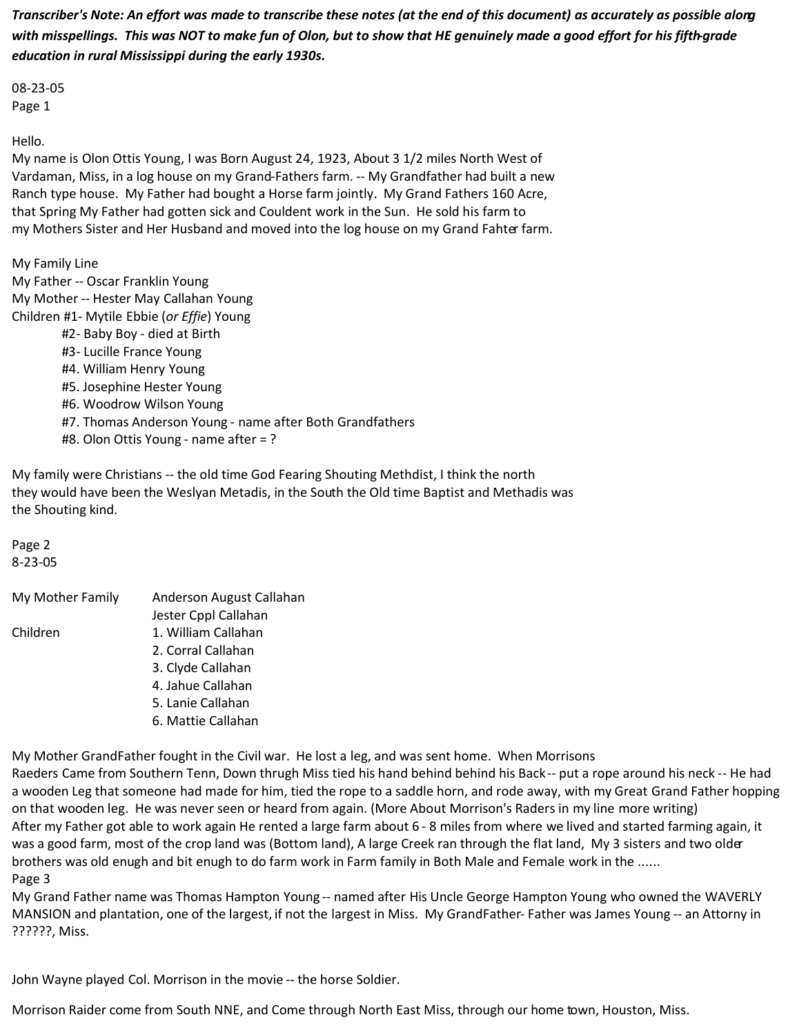*Transcriber's Note: An effort was made to transcribe these notes (at the end of this document) as accurately as possible along with misspellings. This was NOT to make fun of Olon, but to show that HE genuinely made a good effort for his fifth-grade education in rural Mississippi during the early 1930s.*

08-23-05 Page 1

Hello.

My name is Olon Ottis Young, I was Born August 24, 1923, About 3 1/2 miles North West of Vardaman, Miss, in a log house on my Grand-Fathers farm. -- My Grandfather had built a new Ranch type house. My Father had bought a Horse farm jointly. My Grand Fathers 160 Acre, that Spring My Father had gotten sick and Couldent work in the Sun. He sold his farm to my Mothers Sister and Her Husband and moved into the log house on my Grand Fahter farm.

My Family Line My Father -- Oscar Franklin Young My Mother -- Hester May Callahan Young Children #1- Mytile Ebbie (*or Effie*) Young #2- Baby Boy - died at Birth #3- Lucille France Young #4. William Henry Young #5. Josephine Hester Young #6. Woodrow Wilson Young #7. Thomas Anderson Young - name after Both Grandfathers #8. Olon Ottis Young - name after = ?

My family were Christians -- the old time God Fearing Shouting Methdist, I think the north they would have been the Weslyan Metadis, in the South the Old time Baptist and Methadis was the Shouting kind.

Page 2 8-23-05

| My Mother Family | Anderson August Callahan<br>Jester Cppl Callahan |
|------------------|--------------------------------------------------|
| Children         | 1. William Callahan                              |
|                  | 2. Corral Callahan                               |
|                  | 3. Clyde Callahan                                |
|                  | 4. Jahue Callahan                                |
|                  | 5. Lanie Callahan                                |
|                  | 6. Mattie Callahan                               |
|                  |                                                  |

My Mother GrandFather fought in the Civil war. He lost a leg, and was sent home. When Morrisons Raeders Came from Southern Tenn, Down thrugh Miss tied his hand behind behind his Back -- put a rope around his neck -- He had a wooden Leg that someone had made for him, tied the rope to a saddle horn, and rode away, with my Great Grand Father hopping on that wooden leg. He was never seen or heard from again. (More About Morrison's Raders in my line more writing) After my Father got able to work again He rented a large farm about 6 - 8 miles from where we lived and started farming again, it was a good farm, most of the crop land was (Bottom land), A large Creek ran through the flat land, My 3 sisters and two older brothers was old enugh and bit enugh to do farm work in Farm family in Both Male and Female work in the ...... Page 3

My Grand Father name was Thomas Hampton Young -- named after His Uncle George Hampton Young who owned the WAVERLY MANSION and plantation, one of the largest, if not the largest in Miss. My GrandFather- Father was James Young -- an Attorny in ??????, Miss.

John Wayne played Col. Morrison in the movie -- the horse Soldier.

Morrison Raider come from South NNE, and Come through North East Miss, through our home town, Houston, Miss.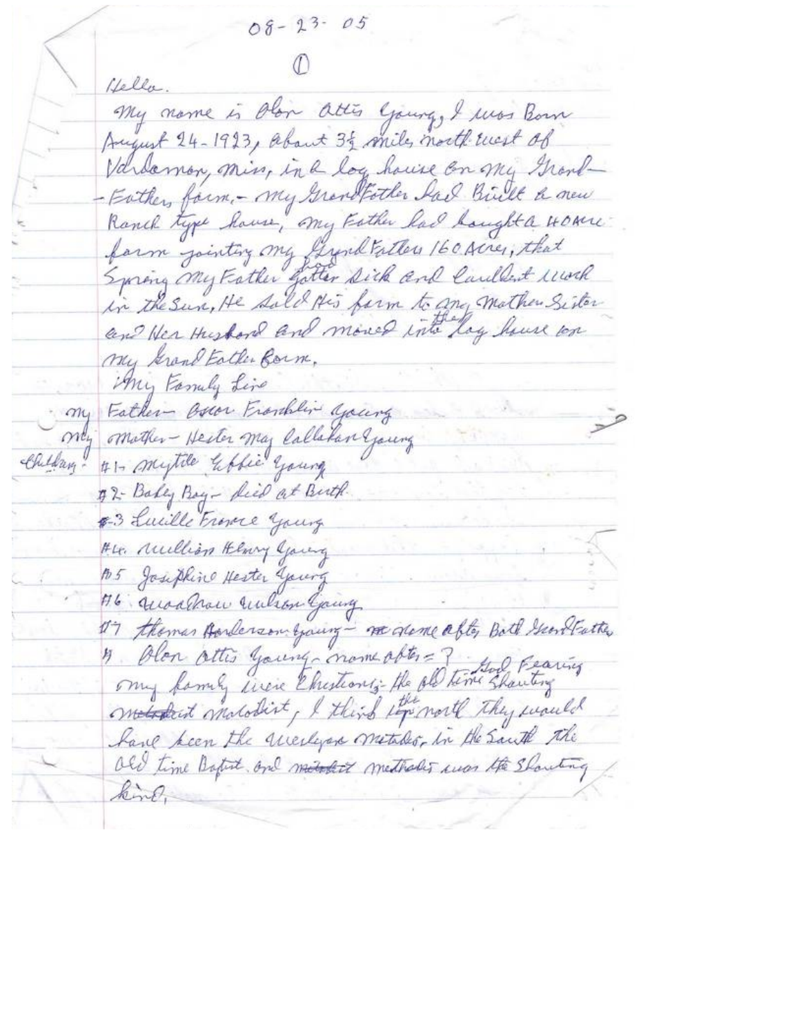$08 - 23 - 05$ 

Hella My name is flor attis Gaury, I was Born August 24-1923, about 32 miles north west of Vardamon, min, in a log house on my Grond-- Eather form .- my Grandfother had built a new Ranch type house, my Father had baught a HOME farm jointing my Gynd Fatters 160 Acres, that Spring My Father Jotter Sick and lauldent work in the sun, He said His form to any mathew Sister and Her Husbard and moved into lay house on My Grand Eather Born, My Family Line Father Ostor Franklin young mather - Hester may Callaban young 41- mytile abbie young Children ! # 2- Bally Bay - Ried at Buth. \$3 Lucille France young Her. Mullion Henry Garing 105 Josephine Hester young #6 anoathan aulion Gang 17 themas Anderson young - ne dene after Bath George Father 1) Olon attis young mome after = ? Hol Pearing metabel molotist, I think lop north they would have been the receipers metales, in the Sante the Old time Bafist and metalet methods was the Shorting kine,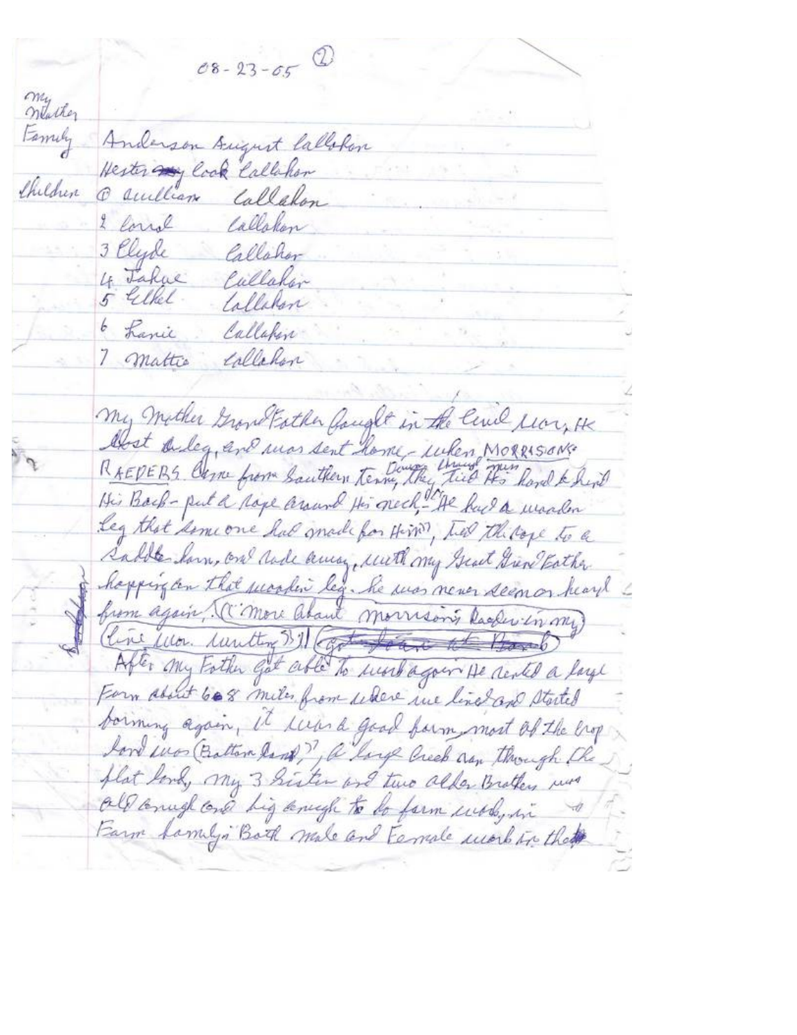$08 - 23 - 05$ my<br>Whithey Family Anderson August Callohon Hester my Cook Callahon Children @ suilliam Callahon Callakon 2 lorral 3 Elyde Callahor 4 Fahre<br>5 Elkel Cullakar Callakan 6 Lanie Callapin 7 mattie Callahon My mother Grow Father Gaught in the Cevel Mar, He Abst Aleg, and was sent home - when MORRISONS. RAEDERS Came from Southern terry they till This Road & hird His Back - put a love around His onech-He had a wooden Leg that someone had made for Him, two the tope to a Sabde law, one dade among with my Great Gren Father hopping an that succiden leg. he was never seem or heard from again (C'more about morrison's lacker in my) Cine film lantin 31 (got four to Barol After my Fother got able to work again He rented a layer Form about 608 miles from where we live and started borining again, it wis a good form most of the brop low was (Batton land), a long luck ann though the flat long my 3 hister and two alder Brothers was all anugh one hig anigh to be form with, in Farm hamlys Both male and Female work in the